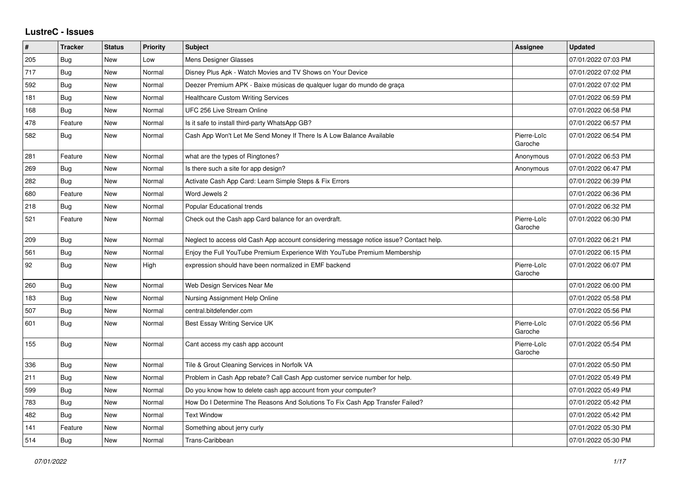## **LustreC - Issues**

| $\vert$ # | <b>Tracker</b> | <b>Status</b> | <b>Priority</b> | <b>Subject</b>                                                                         | Assignee               | <b>Updated</b>      |
|-----------|----------------|---------------|-----------------|----------------------------------------------------------------------------------------|------------------------|---------------------|
| 205       | Bug            | New           | Low             | Mens Designer Glasses                                                                  |                        | 07/01/2022 07:03 PM |
| 717       | Bug            | <b>New</b>    | Normal          | Disney Plus Apk - Watch Movies and TV Shows on Your Device                             |                        | 07/01/2022 07:02 PM |
| 592       | Bug            | <b>New</b>    | Normal          | Deezer Premium APK - Baixe músicas de qualquer lugar do mundo de graça                 |                        | 07/01/2022 07:02 PM |
| 181       | Bug            | New           | Normal          | <b>Healthcare Custom Writing Services</b>                                              |                        | 07/01/2022 06:59 PM |
| 168       | Bug            | <b>New</b>    | Normal          | UFC 256 Live Stream Online                                                             |                        | 07/01/2022 06:58 PM |
| 478       | Feature        | <b>New</b>    | Normal          | Is it safe to install third-party WhatsApp GB?                                         |                        | 07/01/2022 06:57 PM |
| 582       | Bug            | New           | Normal          | Cash App Won't Let Me Send Money If There Is A Low Balance Available                   | Pierre-Loïc<br>Garoche | 07/01/2022 06:54 PM |
| 281       | Feature        | <b>New</b>    | Normal          | what are the types of Ringtones?                                                       | Anonymous              | 07/01/2022 06:53 PM |
| 269       | Bug            | <b>New</b>    | Normal          | Is there such a site for app design?                                                   | Anonymous              | 07/01/2022 06:47 PM |
| 282       | Bug            | <b>New</b>    | Normal          | Activate Cash App Card: Learn Simple Steps & Fix Errors                                |                        | 07/01/2022 06:39 PM |
| 680       | Feature        | New           | Normal          | Word Jewels 2                                                                          |                        | 07/01/2022 06:36 PM |
| 218       | Bug            | New           | Normal          | <b>Popular Educational trends</b>                                                      |                        | 07/01/2022 06:32 PM |
| 521       | Feature        | <b>New</b>    | Normal          | Check out the Cash app Card balance for an overdraft.                                  | Pierre-Loïc<br>Garoche | 07/01/2022 06:30 PM |
| 209       | Bug            | <b>New</b>    | Normal          | Neglect to access old Cash App account considering message notice issue? Contact help. |                        | 07/01/2022 06:21 PM |
| 561       | Bug            | <b>New</b>    | Normal          | Enjoy the Full YouTube Premium Experience With YouTube Premium Membership              |                        | 07/01/2022 06:15 PM |
| 92        | Bug            | New           | High            | expression should have been normalized in EMF backend                                  | Pierre-Loïc<br>Garoche | 07/01/2022 06:07 PM |
| 260       | Bug            | New           | Normal          | Web Design Services Near Me                                                            |                        | 07/01/2022 06:00 PM |
| 183       | <b>Bug</b>     | <b>New</b>    | Normal          | Nursing Assignment Help Online                                                         |                        | 07/01/2022 05:58 PM |
| 507       | Bug            | <b>New</b>    | Normal          | central.bitdefender.com                                                                |                        | 07/01/2022 05:56 PM |
| 601       | <b>Bug</b>     | New           | Normal          | Best Essay Writing Service UK                                                          | Pierre-Loïc<br>Garoche | 07/01/2022 05:56 PM |
| 155       | Bug            | New           | Normal          | Cant access my cash app account                                                        | Pierre-Loïc<br>Garoche | 07/01/2022 05:54 PM |
| 336       | Bug            | <b>New</b>    | Normal          | Tile & Grout Cleaning Services in Norfolk VA                                           |                        | 07/01/2022 05:50 PM |
| 211       | Bug            | New           | Normal          | Problem in Cash App rebate? Call Cash App customer service number for help.            |                        | 07/01/2022 05:49 PM |
| 599       | Bug            | New           | Normal          | Do you know how to delete cash app account from your computer?                         |                        | 07/01/2022 05:49 PM |
| 783       | Bug            | New           | Normal          | How Do I Determine The Reasons And Solutions To Fix Cash App Transfer Failed?          |                        | 07/01/2022 05:42 PM |
| 482       | Bug            | New           | Normal          | <b>Text Window</b>                                                                     |                        | 07/01/2022 05:42 PM |
| 141       | Feature        | <b>New</b>    | Normal          | Something about jerry curly                                                            |                        | 07/01/2022 05:30 PM |
| 514       | Bug            | New           | Normal          | Trans-Caribbean                                                                        |                        | 07/01/2022 05:30 PM |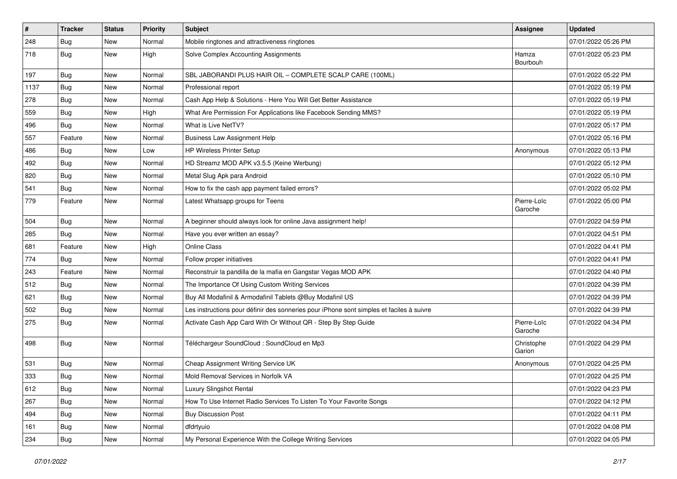| #    | <b>Tracker</b> | <b>Status</b> | Priority | Subject                                                                                  | <b>Assignee</b>        | <b>Updated</b>      |
|------|----------------|---------------|----------|------------------------------------------------------------------------------------------|------------------------|---------------------|
| 248  | <b>Bug</b>     | New           | Normal   | Mobile ringtones and attractiveness ringtones                                            |                        | 07/01/2022 05:26 PM |
| 718  | Bug            | New           | High     | Solve Complex Accounting Assignments                                                     | Hamza<br>Bourbouh      | 07/01/2022 05:23 PM |
| 197  | Bug            | New           | Normal   | SBL JABORANDI PLUS HAIR OIL - COMPLETE SCALP CARE (100ML)                                |                        | 07/01/2022 05:22 PM |
| 1137 | Bug            | New           | Normal   | Professional report                                                                      |                        | 07/01/2022 05:19 PM |
| 278  | Bug            | New           | Normal   | Cash App Help & Solutions - Here You Will Get Better Assistance                          |                        | 07/01/2022 05:19 PM |
| 559  | Bug            | New           | High     | What Are Permission For Applications like Facebook Sending MMS?                          |                        | 07/01/2022 05:19 PM |
| 496  | Bug            | New           | Normal   | What is Live NetTV?                                                                      |                        | 07/01/2022 05:17 PM |
| 557  | Feature        | New           | Normal   | <b>Business Law Assignment Help</b>                                                      |                        | 07/01/2022 05:16 PM |
| 486  | Bug            | New           | Low      | <b>HP Wireless Printer Setup</b>                                                         | Anonymous              | 07/01/2022 05:13 PM |
| 492  | Bug            | New           | Normal   | HD Streamz MOD APK v3.5.5 (Keine Werbung)                                                |                        | 07/01/2022 05:12 PM |
| 820  | Bug            | New           | Normal   | Metal Slug Apk para Android                                                              |                        | 07/01/2022 05:10 PM |
| 541  | Bug            | New           | Normal   | How to fix the cash app payment failed errors?                                           |                        | 07/01/2022 05:02 PM |
| 779  | Feature        | New           | Normal   | Latest Whatsapp groups for Teens                                                         | Pierre-Loïc<br>Garoche | 07/01/2022 05:00 PM |
| 504  | Bug            | New           | Normal   | A beginner should always look for online Java assignment help!                           |                        | 07/01/2022 04:59 PM |
| 285  | <b>Bug</b>     | New           | Normal   | Have you ever written an essay?                                                          |                        | 07/01/2022 04:51 PM |
| 681  | Feature        | New           | High     | <b>Online Class</b>                                                                      |                        | 07/01/2022 04:41 PM |
| 774  | Bug            | New           | Normal   | Follow proper initiatives                                                                |                        | 07/01/2022 04:41 PM |
| 243  | Feature        | New           | Normal   | Reconstruir la pandilla de la mafia en Gangstar Vegas MOD APK                            |                        | 07/01/2022 04:40 PM |
| 512  | Bug            | New           | Normal   | The Importance Of Using Custom Writing Services                                          |                        | 07/01/2022 04:39 PM |
| 621  | Bug            | New           | Normal   | Buy All Modafinil & Armodafinil Tablets @Buy Modafinil US                                |                        | 07/01/2022 04:39 PM |
| 502  | Bug            | New           | Normal   | Les instructions pour définir des sonneries pour iPhone sont simples et faciles à suivre |                        | 07/01/2022 04:39 PM |
| 275  | Bug            | New           | Normal   | Activate Cash App Card With Or Without QR - Step By Step Guide                           | Pierre-Loïc<br>Garoche | 07/01/2022 04:34 PM |
| 498  | Bug            | New           | Normal   | Téléchargeur SoundCloud : SoundCloud en Mp3                                              | Christophe<br>Garion   | 07/01/2022 04:29 PM |
| 531  | Bug            | New           | Normal   | Cheap Assignment Writing Service UK                                                      | Anonymous              | 07/01/2022 04:25 PM |
| 333  | <b>Bug</b>     | New           | Normal   | Mold Removal Services in Norfolk VA                                                      |                        | 07/01/2022 04:25 PM |
| 612  | <b>Bug</b>     | New           | Normal   | Luxury Slingshot Rental                                                                  |                        | 07/01/2022 04:23 PM |
| 267  | <b>Bug</b>     | New           | Normal   | How To Use Internet Radio Services To Listen To Your Favorite Songs                      |                        | 07/01/2022 04:12 PM |
| 494  | <b>Bug</b>     | New           | Normal   | <b>Buy Discussion Post</b>                                                               |                        | 07/01/2022 04:11 PM |
| 161  | <b>Bug</b>     | New           | Normal   | dfdrtyuio                                                                                |                        | 07/01/2022 04:08 PM |
| 234  | <b>Bug</b>     | New           | Normal   | My Personal Experience With the College Writing Services                                 |                        | 07/01/2022 04:05 PM |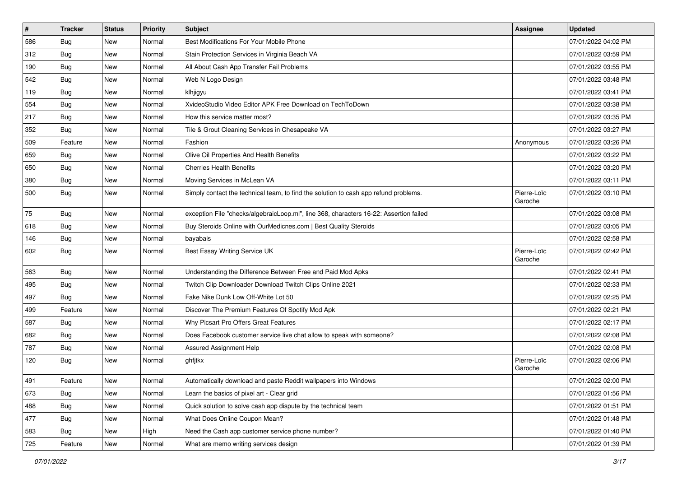| $\vert$ # | <b>Tracker</b> | <b>Status</b> | <b>Priority</b> | <b>Subject</b>                                                                         | <b>Assignee</b>        | <b>Updated</b>      |
|-----------|----------------|---------------|-----------------|----------------------------------------------------------------------------------------|------------------------|---------------------|
| 586       | <b>Bug</b>     | New           | Normal          | Best Modifications For Your Mobile Phone                                               |                        | 07/01/2022 04:02 PM |
| 312       | Bug            | New           | Normal          | Stain Protection Services in Virginia Beach VA                                         |                        | 07/01/2022 03:59 PM |
| 190       | Bug            | New           | Normal          | All About Cash App Transfer Fail Problems                                              |                        | 07/01/2022 03:55 PM |
| 542       | <b>Bug</b>     | New           | Normal          | Web N Logo Design                                                                      |                        | 07/01/2022 03:48 PM |
| 119       | Bug            | New           | Normal          | klhjigyu                                                                               |                        | 07/01/2022 03:41 PM |
| 554       | <b>Bug</b>     | New           | Normal          | XvideoStudio Video Editor APK Free Download on TechToDown                              |                        | 07/01/2022 03:38 PM |
| 217       | Bug            | New           | Normal          | How this service matter most?                                                          |                        | 07/01/2022 03:35 PM |
| 352       | Bug            | New           | Normal          | Tile & Grout Cleaning Services in Chesapeake VA                                        |                        | 07/01/2022 03:27 PM |
| 509       | Feature        | New           | Normal          | Fashion                                                                                | Anonymous              | 07/01/2022 03:26 PM |
| 659       | Bug            | New           | Normal          | Olive Oil Properties And Health Benefits                                               |                        | 07/01/2022 03:22 PM |
| 650       | <b>Bug</b>     | New           | Normal          | <b>Cherries Health Benefits</b>                                                        |                        | 07/01/2022 03:20 PM |
| 380       | <b>Bug</b>     | New           | Normal          | Moving Services in McLean VA                                                           |                        | 07/01/2022 03:11 PM |
| 500       | Bug            | New           | Normal          | Simply contact the technical team, to find the solution to cash app refund problems.   | Pierre-Loïc<br>Garoche | 07/01/2022 03:10 PM |
| 75        | Bug            | <b>New</b>    | Normal          | exception File "checks/algebraicLoop.ml", line 368, characters 16-22: Assertion failed |                        | 07/01/2022 03:08 PM |
| 618       | Bug            | New           | Normal          | Buy Steroids Online with OurMedicnes.com   Best Quality Steroids                       |                        | 07/01/2022 03:05 PM |
| 146       | Bug            | New           | Normal          | bayabais                                                                               |                        | 07/01/2022 02:58 PM |
| 602       | Bug            | New           | Normal          | Best Essay Writing Service UK                                                          | Pierre-Loïc<br>Garoche | 07/01/2022 02:42 PM |
| 563       | Bug            | New           | Normal          | Understanding the Difference Between Free and Paid Mod Apks                            |                        | 07/01/2022 02:41 PM |
| 495       | Bug            | New           | Normal          | Twitch Clip Downloader Download Twitch Clips Online 2021                               |                        | 07/01/2022 02:33 PM |
| 497       | Bug            | New           | Normal          | Fake Nike Dunk Low Off-White Lot 50                                                    |                        | 07/01/2022 02:25 PM |
| 499       | Feature        | New           | Normal          | Discover The Premium Features Of Spotify Mod Apk                                       |                        | 07/01/2022 02:21 PM |
| 587       | <b>Bug</b>     | New           | Normal          | Why Picsart Pro Offers Great Features                                                  |                        | 07/01/2022 02:17 PM |
| 682       | <b>Bug</b>     | New           | Normal          | Does Facebook customer service live chat allow to speak with someone?                  |                        | 07/01/2022 02:08 PM |
| 787       | Bug            | New           | Normal          | Assured Assignment Help                                                                |                        | 07/01/2022 02:08 PM |
| 120       | Bug            | New           | Normal          | ghfjtkx                                                                                | Pierre-Loïc<br>Garoche | 07/01/2022 02:06 PM |
| 491       | Feature        | New           | Normal          | Automatically download and paste Reddit wallpapers into Windows                        |                        | 07/01/2022 02:00 PM |
| 673       | Bug            | New           | Normal          | Learn the basics of pixel art - Clear grid                                             |                        | 07/01/2022 01:56 PM |
| 488       | Bug            | New           | Normal          | Quick solution to solve cash app dispute by the technical team                         |                        | 07/01/2022 01:51 PM |
| 477       | Bug            | New           | Normal          | What Does Online Coupon Mean?                                                          |                        | 07/01/2022 01:48 PM |
| 583       | Bug            | New           | High            | Need the Cash app customer service phone number?                                       |                        | 07/01/2022 01:40 PM |
| 725       | Feature        | New           | Normal          | What are memo writing services design                                                  |                        | 07/01/2022 01:39 PM |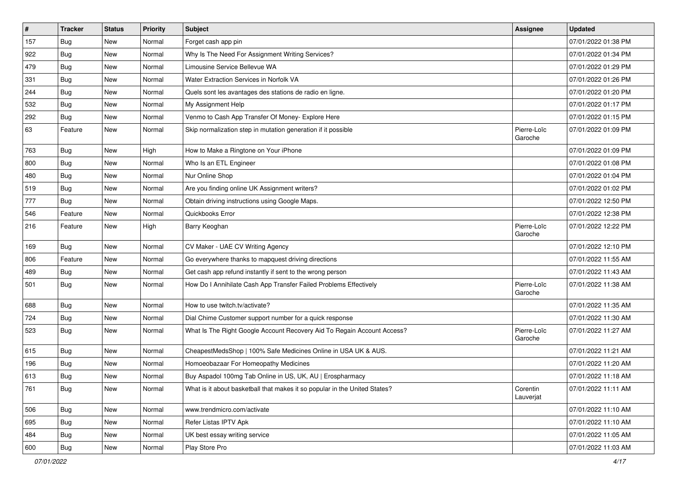| $\vert$ # | <b>Tracker</b> | <b>Status</b> | <b>Priority</b> | Subject                                                                    | Assignee               | <b>Updated</b>      |
|-----------|----------------|---------------|-----------------|----------------------------------------------------------------------------|------------------------|---------------------|
| 157       | <b>Bug</b>     | New           | Normal          | Forget cash app pin                                                        |                        | 07/01/2022 01:38 PM |
| 922       | <b>Bug</b>     | New           | Normal          | Why Is The Need For Assignment Writing Services?                           |                        | 07/01/2022 01:34 PM |
| 479       | Bug            | New           | Normal          | Limousine Service Bellevue WA                                              |                        | 07/01/2022 01:29 PM |
| 331       | <b>Bug</b>     | New           | Normal          | Water Extraction Services in Norfolk VA                                    |                        | 07/01/2022 01:26 PM |
| 244       | <b>Bug</b>     | New           | Normal          | Quels sont les avantages des stations de radio en ligne.                   |                        | 07/01/2022 01:20 PM |
| 532       | <b>Bug</b>     | New           | Normal          | My Assignment Help                                                         |                        | 07/01/2022 01:17 PM |
| 292       | Bug            | New           | Normal          | Venmo to Cash App Transfer Of Money- Explore Here                          |                        | 07/01/2022 01:15 PM |
| 63        | Feature        | New           | Normal          | Skip normalization step in mutation generation if it possible              | Pierre-Loïc<br>Garoche | 07/01/2022 01:09 PM |
| 763       | Bug            | New           | High            | How to Make a Ringtone on Your iPhone                                      |                        | 07/01/2022 01:09 PM |
| 800       | Bug            | New           | Normal          | Who Is an ETL Engineer                                                     |                        | 07/01/2022 01:08 PM |
| 480       | <b>Bug</b>     | New           | Normal          | Nur Online Shop                                                            |                        | 07/01/2022 01:04 PM |
| 519       | <b>Bug</b>     | New           | Normal          | Are you finding online UK Assignment writers?                              |                        | 07/01/2022 01:02 PM |
| 777       | Bug            | New           | Normal          | Obtain driving instructions using Google Maps.                             |                        | 07/01/2022 12:50 PM |
| 546       | Feature        | New           | Normal          | Quickbooks Error                                                           |                        | 07/01/2022 12:38 PM |
| 216       | Feature        | New           | High            | Barry Keoghan                                                              | Pierre-Loïc<br>Garoche | 07/01/2022 12:22 PM |
| 169       | Bug            | New           | Normal          | CV Maker - UAE CV Writing Agency                                           |                        | 07/01/2022 12:10 PM |
| 806       | Feature        | New           | Normal          | Go everywhere thanks to mapquest driving directions                        |                        | 07/01/2022 11:55 AM |
| 489       | <b>Bug</b>     | New           | Normal          | Get cash app refund instantly if sent to the wrong person                  |                        | 07/01/2022 11:43 AM |
| 501       | Bug            | New           | Normal          | How Do I Annihilate Cash App Transfer Failed Problems Effectively          | Pierre-Loïc<br>Garoche | 07/01/2022 11:38 AM |
| 688       | Bug            | New           | Normal          | How to use twitch.tv/activate?                                             |                        | 07/01/2022 11:35 AM |
| 724       | <b>Bug</b>     | New           | Normal          | Dial Chime Customer support number for a quick response                    |                        | 07/01/2022 11:30 AM |
| 523       | Bug            | New           | Normal          | What Is The Right Google Account Recovery Aid To Regain Account Access?    | Pierre-Loïc<br>Garoche | 07/01/2022 11:27 AM |
| 615       | <b>Bug</b>     | New           | Normal          | CheapestMedsShop   100% Safe Medicines Online in USA UK & AUS.             |                        | 07/01/2022 11:21 AM |
| 196       | Bug            | New           | Normal          | Homoeobazaar For Homeopathy Medicines                                      |                        | 07/01/2022 11:20 AM |
| 613       | <b>Bug</b>     | New           | Normal          | Buy Aspadol 100mg Tab Online in US, UK, AU   Erospharmacy                  |                        | 07/01/2022 11:18 AM |
| 761       | <b>Bug</b>     | New           | Normal          | What is it about basketball that makes it so popular in the United States? | Corentin<br>Lauverjat  | 07/01/2022 11:11 AM |
| 506       | Bug            | New           | Normal          | www.trendmicro.com/activate                                                |                        | 07/01/2022 11:10 AM |
| 695       | Bug            | New           | Normal          | Refer Listas IPTV Apk                                                      |                        | 07/01/2022 11:10 AM |
| 484       | <b>Bug</b>     | New           | Normal          | UK best essay writing service                                              |                        | 07/01/2022 11:05 AM |
| 600       | Bug            | New           | Normal          | Play Store Pro                                                             |                        | 07/01/2022 11:03 AM |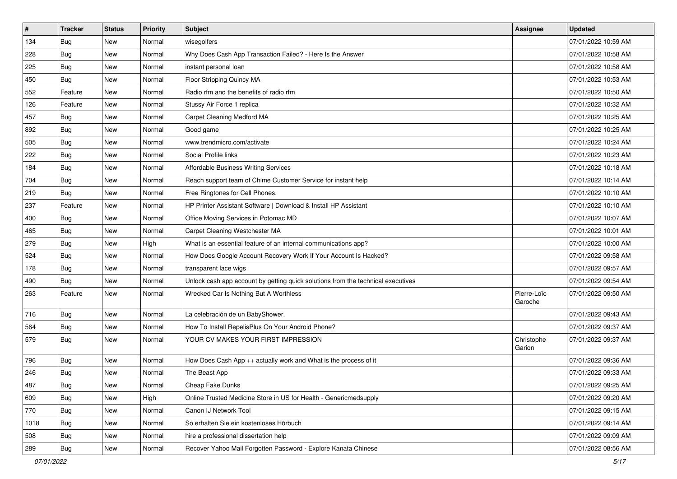| $\vert$ # | <b>Tracker</b> | <b>Status</b> | Priority | Subject                                                                          | <b>Assignee</b>        | <b>Updated</b>      |
|-----------|----------------|---------------|----------|----------------------------------------------------------------------------------|------------------------|---------------------|
| 134       | <b>Bug</b>     | New           | Normal   | wisegolfers                                                                      |                        | 07/01/2022 10:59 AM |
| 228       | Bug            | New           | Normal   | Why Does Cash App Transaction Failed? - Here Is the Answer                       |                        | 07/01/2022 10:58 AM |
| 225       | Bug            | New           | Normal   | instant personal loan                                                            |                        | 07/01/2022 10:58 AM |
| 450       | <b>Bug</b>     | New           | Normal   | Floor Stripping Quincy MA                                                        |                        | 07/01/2022 10:53 AM |
| 552       | Feature        | New           | Normal   | Radio rfm and the benefits of radio rfm                                          |                        | 07/01/2022 10:50 AM |
| 126       | Feature        | New           | Normal   | Stussy Air Force 1 replica                                                       |                        | 07/01/2022 10:32 AM |
| 457       | Bug            | New           | Normal   | Carpet Cleaning Medford MA                                                       |                        | 07/01/2022 10:25 AM |
| 892       | Bug            | New           | Normal   | Good game                                                                        |                        | 07/01/2022 10:25 AM |
| 505       | <b>Bug</b>     | New           | Normal   | www.trendmicro.com/activate                                                      |                        | 07/01/2022 10:24 AM |
| 222       | Bug            | New           | Normal   | Social Profile links                                                             |                        | 07/01/2022 10:23 AM |
| 184       | Bug            | New           | Normal   | <b>Affordable Business Writing Services</b>                                      |                        | 07/01/2022 10:18 AM |
| 704       | <b>Bug</b>     | New           | Normal   | Reach support team of Chime Customer Service for instant help                    |                        | 07/01/2022 10:14 AM |
| 219       | Bug            | New           | Normal   | Free Ringtones for Cell Phones.                                                  |                        | 07/01/2022 10:10 AM |
| 237       | Feature        | New           | Normal   | HP Printer Assistant Software   Download & Install HP Assistant                  |                        | 07/01/2022 10:10 AM |
| 400       | Bug            | New           | Normal   | Office Moving Services in Potomac MD                                             |                        | 07/01/2022 10:07 AM |
| 465       | Bug            | New           | Normal   | Carpet Cleaning Westchester MA                                                   |                        | 07/01/2022 10:01 AM |
| 279       | Bug            | New           | High     | What is an essential feature of an internal communications app?                  |                        | 07/01/2022 10:00 AM |
| 524       | <b>Bug</b>     | New           | Normal   | How Does Google Account Recovery Work If Your Account Is Hacked?                 |                        | 07/01/2022 09:58 AM |
| 178       | Bug            | New           | Normal   | transparent lace wigs                                                            |                        | 07/01/2022 09:57 AM |
| 490       | <b>Bug</b>     | New           | Normal   | Unlock cash app account by getting quick solutions from the technical executives |                        | 07/01/2022 09:54 AM |
| 263       | Feature        | New           | Normal   | Wrecked Car Is Nothing But A Worthless                                           | Pierre-Loïc<br>Garoche | 07/01/2022 09:50 AM |
| 716       | Bug            | New           | Normal   | La celebración de un BabyShower.                                                 |                        | 07/01/2022 09:43 AM |
| 564       | <b>Bug</b>     | New           | Normal   | How To Install RepelisPlus On Your Android Phone?                                |                        | 07/01/2022 09:37 AM |
| 579       | <b>Bug</b>     | New           | Normal   | YOUR CV MAKES YOUR FIRST IMPRESSION                                              | Christophe<br>Garion   | 07/01/2022 09:37 AM |
| 796       | Bug            | New           | Normal   | How Does Cash App $++$ actually work and What is the process of it               |                        | 07/01/2022 09:36 AM |
| 246       | Bug            | New           | Normal   | The Beast App                                                                    |                        | 07/01/2022 09:33 AM |
| 487       | Bug            | New           | Normal   | Cheap Fake Dunks                                                                 |                        | 07/01/2022 09:25 AM |
| 609       | Bug            | New           | High     | Online Trusted Medicine Store in US for Health - Genericmedsupply                |                        | 07/01/2022 09:20 AM |
| 770       | Bug            | New           | Normal   | Canon IJ Network Tool                                                            |                        | 07/01/2022 09:15 AM |
| 1018      | Bug            | New           | Normal   | So erhalten Sie ein kostenloses Hörbuch                                          |                        | 07/01/2022 09:14 AM |
| 508       | Bug            | New           | Normal   | hire a professional dissertation help                                            |                        | 07/01/2022 09:09 AM |
| 289       | <b>Bug</b>     | New           | Normal   | Recover Yahoo Mail Forgotten Password - Explore Kanata Chinese                   |                        | 07/01/2022 08:56 AM |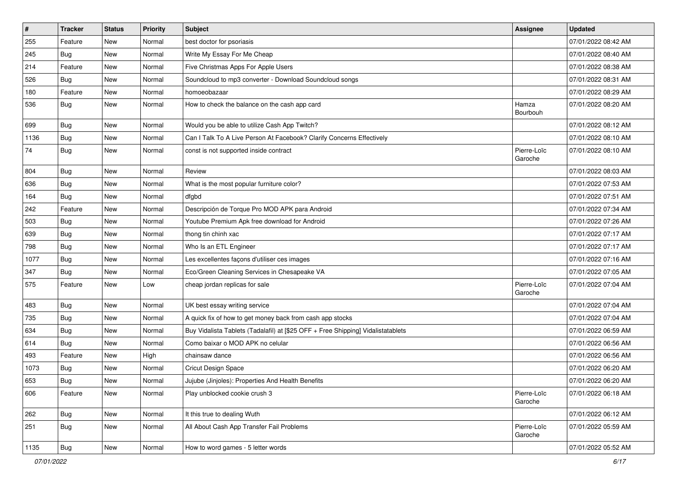| $\vert$ # | <b>Tracker</b> | <b>Status</b> | <b>Priority</b> | Subject                                                                          | <b>Assignee</b>        | <b>Updated</b>      |
|-----------|----------------|---------------|-----------------|----------------------------------------------------------------------------------|------------------------|---------------------|
| 255       | Feature        | New           | Normal          | best doctor for psoriasis                                                        |                        | 07/01/2022 08:42 AM |
| 245       | <b>Bug</b>     | New           | Normal          | Write My Essay For Me Cheap                                                      |                        | 07/01/2022 08:40 AM |
| 214       | Feature        | New           | Normal          | Five Christmas Apps For Apple Users                                              |                        | 07/01/2022 08:38 AM |
| 526       | <b>Bug</b>     | New           | Normal          | Soundcloud to mp3 converter - Download Soundcloud songs                          |                        | 07/01/2022 08:31 AM |
| 180       | Feature        | New           | Normal          | homoeobazaar                                                                     |                        | 07/01/2022 08:29 AM |
| 536       | Bug            | New           | Normal          | How to check the balance on the cash app card                                    | Hamza<br>Bourbouh      | 07/01/2022 08:20 AM |
| 699       | Bug            | New           | Normal          | Would you be able to utilize Cash App Twitch?                                    |                        | 07/01/2022 08:12 AM |
| 1136      | Bug            | New           | Normal          | Can I Talk To A Live Person At Facebook? Clarify Concerns Effectively            |                        | 07/01/2022 08:10 AM |
| 74        | Bug            | New           | Normal          | const is not supported inside contract                                           | Pierre-Loïc<br>Garoche | 07/01/2022 08:10 AM |
| 804       | <b>Bug</b>     | New           | Normal          | Review                                                                           |                        | 07/01/2022 08:03 AM |
| 636       | Bug            | New           | Normal          | What is the most popular furniture color?                                        |                        | 07/01/2022 07:53 AM |
| 164       | <b>Bug</b>     | New           | Normal          | dfgbd                                                                            |                        | 07/01/2022 07:51 AM |
| 242       | Feature        | New           | Normal          | Descripción de Torque Pro MOD APK para Android                                   |                        | 07/01/2022 07:34 AM |
| 503       | Bug            | New           | Normal          | Youtube Premium Apk free download for Android                                    |                        | 07/01/2022 07:26 AM |
| 639       | <b>Bug</b>     | New           | Normal          | thong tin chinh xac                                                              |                        | 07/01/2022 07:17 AM |
| 798       | Bug            | New           | Normal          | Who Is an ETL Engineer                                                           |                        | 07/01/2022 07:17 AM |
| 1077      | <b>Bug</b>     | New           | Normal          | Les excellentes façons d'utiliser ces images                                     |                        | 07/01/2022 07:16 AM |
| 347       | Bug            | New           | Normal          | Eco/Green Cleaning Services in Chesapeake VA                                     |                        | 07/01/2022 07:05 AM |
| 575       | Feature        | New           | Low             | cheap jordan replicas for sale                                                   | Pierre-Loïc<br>Garoche | 07/01/2022 07:04 AM |
| 483       | Bug            | New           | Normal          | UK best essay writing service                                                    |                        | 07/01/2022 07:04 AM |
| 735       | <b>Bug</b>     | New           | Normal          | A quick fix of how to get money back from cash app stocks                        |                        | 07/01/2022 07:04 AM |
| 634       | <b>Bug</b>     | New           | Normal          | Buy Vidalista Tablets (Tadalafil) at [\$25 OFF + Free Shipping] Vidalistatablets |                        | 07/01/2022 06:59 AM |
| 614       | Bug            | New           | Normal          | Como baixar o MOD APK no celular                                                 |                        | 07/01/2022 06:56 AM |
| 493       | Feature        | New           | High            | chainsaw dance                                                                   |                        | 07/01/2022 06:56 AM |
| 1073      | <b>Bug</b>     | New           | Normal          | <b>Cricut Design Space</b>                                                       |                        | 07/01/2022 06:20 AM |
| 653       | Bug            | New           | Normal          | Jujube (Jinjoles): Properties And Health Benefits                                |                        | 07/01/2022 06:20 AM |
| 606       | Feature        | New           | Normal          | Play unblocked cookie crush 3                                                    | Pierre-Loïc<br>Garoche | 07/01/2022 06:18 AM |
| 262       | Bug            | New           | Normal          | It this true to dealing Wuth                                                     |                        | 07/01/2022 06:12 AM |
| 251       | Bug            | New           | Normal          | All About Cash App Transfer Fail Problems                                        | Pierre-Loïc<br>Garoche | 07/01/2022 05:59 AM |
| 1135      | Bug            | New           | Normal          | How to word games - 5 letter words                                               |                        | 07/01/2022 05:52 AM |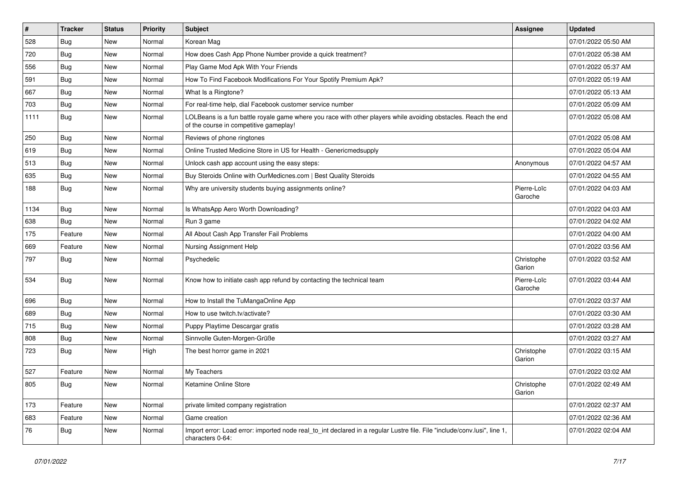| $\sharp$ | <b>Tracker</b> | <b>Status</b> | <b>Priority</b> | <b>Subject</b>                                                                                                                                           | Assignee               | <b>Updated</b>      |
|----------|----------------|---------------|-----------------|----------------------------------------------------------------------------------------------------------------------------------------------------------|------------------------|---------------------|
| 528      | <b>Bug</b>     | New           | Normal          | Korean Mag                                                                                                                                               |                        | 07/01/2022 05:50 AM |
| 720      | Bug            | New           | Normal          | How does Cash App Phone Number provide a quick treatment?                                                                                                |                        | 07/01/2022 05:38 AM |
| 556      | Bug            | New           | Normal          | Play Game Mod Apk With Your Friends                                                                                                                      |                        | 07/01/2022 05:37 AM |
| 591      | <b>Bug</b>     | New           | Normal          | How To Find Facebook Modifications For Your Spotify Premium Apk?                                                                                         |                        | 07/01/2022 05:19 AM |
| 667      | <b>Bug</b>     | New           | Normal          | What Is a Ringtone?                                                                                                                                      |                        | 07/01/2022 05:13 AM |
| 703      | <b>Bug</b>     | New           | Normal          | For real-time help, dial Facebook customer service number                                                                                                |                        | 07/01/2022 05:09 AM |
| 1111     | Bug            | New           | Normal          | LOLBeans is a fun battle royale game where you race with other players while avoiding obstacles. Reach the end<br>of the course in competitive gameplay! |                        | 07/01/2022 05:08 AM |
| 250      | <b>Bug</b>     | New           | Normal          | Reviews of phone ringtones                                                                                                                               |                        | 07/01/2022 05:08 AM |
| 619      | <b>Bug</b>     | <b>New</b>    | Normal          | Online Trusted Medicine Store in US for Health - Genericmedsupply                                                                                        |                        | 07/01/2022 05:04 AM |
| 513      | Bug            | New           | Normal          | Unlock cash app account using the easy steps:                                                                                                            | Anonymous              | 07/01/2022 04:57 AM |
| 635      | <b>Bug</b>     | New           | Normal          | Buy Steroids Online with OurMedicnes.com   Best Quality Steroids                                                                                         |                        | 07/01/2022 04:55 AM |
| 188      | Bug            | New           | Normal          | Why are university students buying assignments online?                                                                                                   | Pierre-Loïc<br>Garoche | 07/01/2022 04:03 AM |
| 1134     | Bug            | New           | Normal          | Is WhatsApp Aero Worth Downloading?                                                                                                                      |                        | 07/01/2022 04:03 AM |
| 638      | Bug            | New           | Normal          | Run 3 game                                                                                                                                               |                        | 07/01/2022 04:02 AM |
| 175      | Feature        | New           | Normal          | All About Cash App Transfer Fail Problems                                                                                                                |                        | 07/01/2022 04:00 AM |
| 669      | Feature        | New           | Normal          | Nursing Assignment Help                                                                                                                                  |                        | 07/01/2022 03:56 AM |
| 797      | <b>Bug</b>     | New           | Normal          | Psychedelic                                                                                                                                              | Christophe<br>Garion   | 07/01/2022 03:52 AM |
| 534      | Bug            | New           | Normal          | Know how to initiate cash app refund by contacting the technical team                                                                                    | Pierre-Loïc<br>Garoche | 07/01/2022 03:44 AM |
| 696      | Bug            | New           | Normal          | How to Install the TuMangaOnline App                                                                                                                     |                        | 07/01/2022 03:37 AM |
| 689      | <b>Bug</b>     | New           | Normal          | How to use twitch.tv/activate?                                                                                                                           |                        | 07/01/2022 03:30 AM |
| 715      | <b>Bug</b>     | New           | Normal          | Puppy Playtime Descargar gratis                                                                                                                          |                        | 07/01/2022 03:28 AM |
| 808      | <b>Bug</b>     | New           | Normal          | Sinnvolle Guten-Morgen-Grüße                                                                                                                             |                        | 07/01/2022 03:27 AM |
| 723      | Bug            | New           | High            | The best horror game in 2021                                                                                                                             | Christophe<br>Garion   | 07/01/2022 03:15 AM |
| 527      | Feature        | New           | Normal          | My Teachers                                                                                                                                              |                        | 07/01/2022 03:02 AM |
| 805      | Bug            | New           | Normal          | Ketamine Online Store                                                                                                                                    | Christophe<br>Garion   | 07/01/2022 02:49 AM |
| 173      | Feature        | New           | Normal          | private limited company registration                                                                                                                     |                        | 07/01/2022 02:37 AM |
| 683      | Feature        | New           | Normal          | Game creation                                                                                                                                            |                        | 07/01/2022 02:36 AM |
| 76       | <b>Bug</b>     | New           | Normal          | Import error: Load error: imported node real_to_int declared in a regular Lustre file. File "include/conv.lusi", line 1,<br>characters 0-64:             |                        | 07/01/2022 02:04 AM |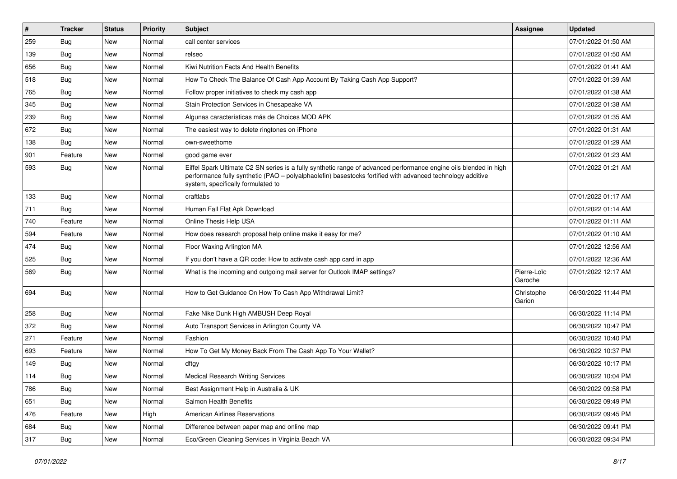| #   | <b>Tracker</b> | <b>Status</b> | Priority | <b>Subject</b>                                                                                                                                                                                                                                                        | <b>Assignee</b>        | <b>Updated</b>      |
|-----|----------------|---------------|----------|-----------------------------------------------------------------------------------------------------------------------------------------------------------------------------------------------------------------------------------------------------------------------|------------------------|---------------------|
| 259 | <b>Bug</b>     | New           | Normal   | call center services                                                                                                                                                                                                                                                  |                        | 07/01/2022 01:50 AM |
| 139 | <b>Bug</b>     | New           | Normal   | relseo                                                                                                                                                                                                                                                                |                        | 07/01/2022 01:50 AM |
| 656 | <b>Bug</b>     | New           | Normal   | Kiwi Nutrition Facts And Health Benefits                                                                                                                                                                                                                              |                        | 07/01/2022 01:41 AM |
| 518 | Bug            | New           | Normal   | How To Check The Balance Of Cash App Account By Taking Cash App Support?                                                                                                                                                                                              |                        | 07/01/2022 01:39 AM |
| 765 | <b>Bug</b>     | New           | Normal   | Follow proper initiatives to check my cash app                                                                                                                                                                                                                        |                        | 07/01/2022 01:38 AM |
| 345 | <b>Bug</b>     | New           | Normal   | Stain Protection Services in Chesapeake VA                                                                                                                                                                                                                            |                        | 07/01/2022 01:38 AM |
| 239 | <b>Bug</b>     | New           | Normal   | Algunas características más de Choices MOD APK                                                                                                                                                                                                                        |                        | 07/01/2022 01:35 AM |
| 672 | Bug            | New           | Normal   | The easiest way to delete ringtones on iPhone                                                                                                                                                                                                                         |                        | 07/01/2022 01:31 AM |
| 138 | Bug            | New           | Normal   | own-sweethome                                                                                                                                                                                                                                                         |                        | 07/01/2022 01:29 AM |
| 901 | Feature        | New           | Normal   | good game ever                                                                                                                                                                                                                                                        |                        | 07/01/2022 01:23 AM |
| 593 | Bug            | New           | Normal   | Eiffel Spark Ultimate C2 SN series is a fully synthetic range of advanced performance engine oils blended in high<br>performance fully synthetic (PAO - polyalphaolefin) basestocks fortified with advanced technology additive<br>system, specifically formulated to |                        | 07/01/2022 01:21 AM |
| 133 | Bug            | New           | Normal   | craftlabs                                                                                                                                                                                                                                                             |                        | 07/01/2022 01:17 AM |
| 711 | <b>Bug</b>     | New           | Normal   | Human Fall Flat Apk Download                                                                                                                                                                                                                                          |                        | 07/01/2022 01:14 AM |
| 740 | Feature        | New           | Normal   | Online Thesis Help USA                                                                                                                                                                                                                                                |                        | 07/01/2022 01:11 AM |
| 594 | Feature        | New           | Normal   | How does research proposal help online make it easy for me?                                                                                                                                                                                                           |                        | 07/01/2022 01:10 AM |
| 474 | <b>Bug</b>     | New           | Normal   | Floor Waxing Arlington MA                                                                                                                                                                                                                                             |                        | 07/01/2022 12:56 AM |
| 525 | Bug            | New           | Normal   | If you don't have a QR code: How to activate cash app card in app                                                                                                                                                                                                     |                        | 07/01/2022 12:36 AM |
| 569 | <b>Bug</b>     | New           | Normal   | What is the incoming and outgoing mail server for Outlook IMAP settings?                                                                                                                                                                                              | Pierre-Loïc<br>Garoche | 07/01/2022 12:17 AM |
| 694 | Bug            | New           | Normal   | How to Get Guidance On How To Cash App Withdrawal Limit?                                                                                                                                                                                                              | Christophe<br>Garion   | 06/30/2022 11:44 PM |
| 258 | Bug            | New           | Normal   | Fake Nike Dunk High AMBUSH Deep Royal                                                                                                                                                                                                                                 |                        | 06/30/2022 11:14 PM |
| 372 | <b>Bug</b>     | New           | Normal   | Auto Transport Services in Arlington County VA                                                                                                                                                                                                                        |                        | 06/30/2022 10:47 PM |
| 271 | Feature        | New           | Normal   | Fashion                                                                                                                                                                                                                                                               |                        | 06/30/2022 10:40 PM |
| 693 | Feature        | New           | Normal   | How To Get My Money Back From The Cash App To Your Wallet?                                                                                                                                                                                                            |                        | 06/30/2022 10:37 PM |
| 149 | Bug            | New           | Normal   | dftgy                                                                                                                                                                                                                                                                 |                        | 06/30/2022 10:17 PM |
| 114 | <b>Bug</b>     | New           | Normal   | <b>Medical Research Writing Services</b>                                                                                                                                                                                                                              |                        | 06/30/2022 10:04 PM |
| 786 | <b>Bug</b>     | New           | Normal   | Best Assignment Help in Australia & UK                                                                                                                                                                                                                                |                        | 06/30/2022 09:58 PM |
| 651 | <b>Bug</b>     | New           | Normal   | Salmon Health Benefits                                                                                                                                                                                                                                                |                        | 06/30/2022 09:49 PM |
| 476 | Feature        | New           | High     | American Airlines Reservations                                                                                                                                                                                                                                        |                        | 06/30/2022 09:45 PM |
| 684 | Bug            | New           | Normal   | Difference between paper map and online map                                                                                                                                                                                                                           |                        | 06/30/2022 09:41 PM |
| 317 | <b>Bug</b>     | New           | Normal   | Eco/Green Cleaning Services in Virginia Beach VA                                                                                                                                                                                                                      |                        | 06/30/2022 09:34 PM |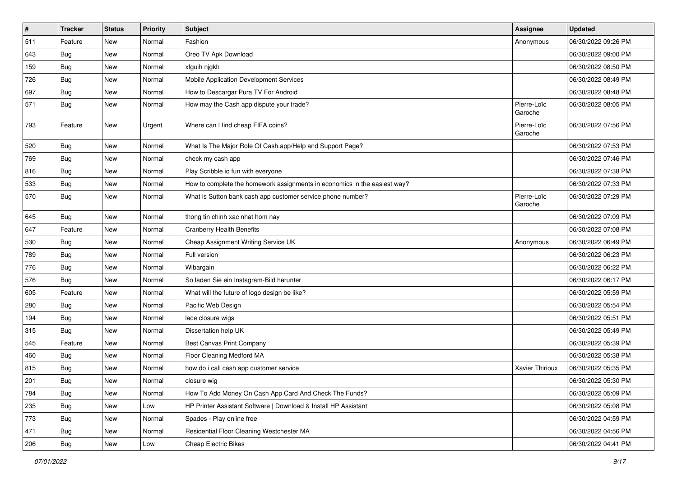| $\vert$ # | <b>Tracker</b> | <b>Status</b> | <b>Priority</b> | Subject                                                                   | <b>Assignee</b>        | <b>Updated</b>      |
|-----------|----------------|---------------|-----------------|---------------------------------------------------------------------------|------------------------|---------------------|
| 511       | Feature        | New           | Normal          | Fashion                                                                   | Anonymous              | 06/30/2022 09:26 PM |
| 643       | <b>Bug</b>     | New           | Normal          | Oreo TV Apk Download                                                      |                        | 06/30/2022 09:00 PM |
| 159       | Bug            | New           | Normal          | xfguih njgkh                                                              |                        | 06/30/2022 08:50 PM |
| 726       | <b>Bug</b>     | New           | Normal          | Mobile Application Development Services                                   |                        | 06/30/2022 08:49 PM |
| 697       | <b>Bug</b>     | New           | Normal          | How to Descargar Pura TV For Android                                      |                        | 06/30/2022 08:48 PM |
| 571       | <b>Bug</b>     | New           | Normal          | How may the Cash app dispute your trade?                                  | Pierre-Loïc<br>Garoche | 06/30/2022 08:05 PM |
| 793       | Feature        | New           | Urgent          | Where can I find cheap FIFA coins?                                        | Pierre-Loïc<br>Garoche | 06/30/2022 07:56 PM |
| 520       | <b>Bug</b>     | New           | Normal          | What Is The Major Role Of Cash.app/Help and Support Page?                 |                        | 06/30/2022 07:53 PM |
| 769       | <b>Bug</b>     | New           | Normal          | check my cash app                                                         |                        | 06/30/2022 07:46 PM |
| 816       | <b>Bug</b>     | New           | Normal          | Play Scribble io fun with everyone                                        |                        | 06/30/2022 07:38 PM |
| 533       | Bug            | New           | Normal          | How to complete the homework assignments in economics in the easiest way? |                        | 06/30/2022 07:33 PM |
| 570       | Bug            | New           | Normal          | What is Sutton bank cash app customer service phone number?               | Pierre-Loïc<br>Garoche | 06/30/2022 07:29 PM |
| 645       | Bug            | New           | Normal          | thong tin chinh xac nhat hom nay                                          |                        | 06/30/2022 07:09 PM |
| 647       | Feature        | New           | Normal          | <b>Cranberry Health Benefits</b>                                          |                        | 06/30/2022 07:08 PM |
| 530       | Bug            | New           | Normal          | Cheap Assignment Writing Service UK                                       | Anonymous              | 06/30/2022 06:49 PM |
| 789       | Bug            | New           | Normal          | Full version                                                              |                        | 06/30/2022 06:23 PM |
| 776       | <b>Bug</b>     | New           | Normal          | Wibargain                                                                 |                        | 06/30/2022 06:22 PM |
| 576       | Bug            | New           | Normal          | So laden Sie ein Instagram-Bild herunter                                  |                        | 06/30/2022 06:17 PM |
| 605       | Feature        | New           | Normal          | What will the future of logo design be like?                              |                        | 06/30/2022 05:59 PM |
| 280       | <b>Bug</b>     | New           | Normal          | Pacific Web Design                                                        |                        | 06/30/2022 05:54 PM |
| 194       | Bug            | New           | Normal          | lace closure wigs                                                         |                        | 06/30/2022 05:51 PM |
| 315       | <b>Bug</b>     | New           | Normal          | Dissertation help UK                                                      |                        | 06/30/2022 05:49 PM |
| 545       | Feature        | New           | Normal          | Best Canvas Print Company                                                 |                        | 06/30/2022 05:39 PM |
| 460       | <b>Bug</b>     | New           | Normal          | Floor Cleaning Medford MA                                                 |                        | 06/30/2022 05:38 PM |
| 815       | <b>Bug</b>     | New           | Normal          | how do i call cash app customer service                                   | Xavier Thirioux        | 06/30/2022 05:35 PM |
| 201       | Bug            | New           | Normal          | closure wig                                                               |                        | 06/30/2022 05:30 PM |
| 784       | <b>Bug</b>     | New           | Normal          | How To Add Money On Cash App Card And Check The Funds?                    |                        | 06/30/2022 05:09 PM |
| 235       | <b>Bug</b>     | New           | Low             | HP Printer Assistant Software   Download & Install HP Assistant           |                        | 06/30/2022 05:08 PM |
| 773       | Bug            | New           | Normal          | Spades - Play online free                                                 |                        | 06/30/2022 04:59 PM |
| 471       | Bug            | New           | Normal          | Residential Floor Cleaning Westchester MA                                 |                        | 06/30/2022 04:56 PM |
| 206       | Bug            | New           | Low             | Cheap Electric Bikes                                                      |                        | 06/30/2022 04:41 PM |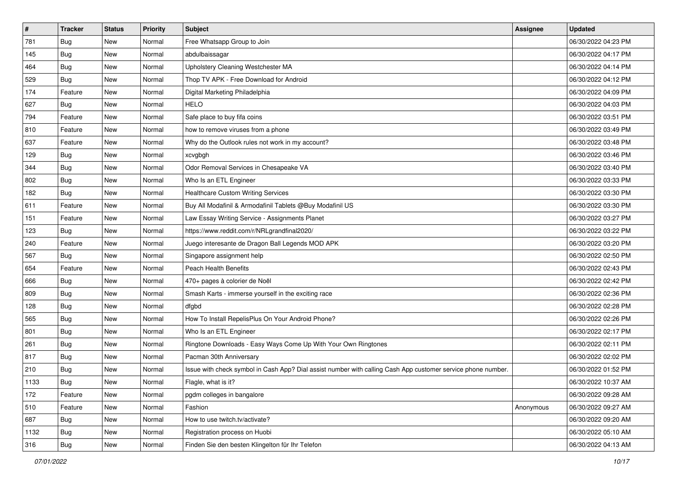| $\sharp$ | <b>Tracker</b> | <b>Status</b> | Priority | Subject                                                                                                      | <b>Assignee</b> | <b>Updated</b>      |
|----------|----------------|---------------|----------|--------------------------------------------------------------------------------------------------------------|-----------------|---------------------|
| 781      | <b>Bug</b>     | New           | Normal   | Free Whatsapp Group to Join                                                                                  |                 | 06/30/2022 04:23 PM |
| 145      | <b>Bug</b>     | New           | Normal   | abdulbaissagar                                                                                               |                 | 06/30/2022 04:17 PM |
| 464      | Bug            | New           | Normal   | Upholstery Cleaning Westchester MA                                                                           |                 | 06/30/2022 04:14 PM |
| 529      | <b>Bug</b>     | New           | Normal   | Thop TV APK - Free Download for Android                                                                      |                 | 06/30/2022 04:12 PM |
| 174      | Feature        | New           | Normal   | Digital Marketing Philadelphia                                                                               |                 | 06/30/2022 04:09 PM |
| 627      | Bug            | New           | Normal   | HELO                                                                                                         |                 | 06/30/2022 04:03 PM |
| 794      | Feature        | New           | Normal   | Safe place to buy fifa coins                                                                                 |                 | 06/30/2022 03:51 PM |
| 810      | Feature        | New           | Normal   | how to remove viruses from a phone                                                                           |                 | 06/30/2022 03:49 PM |
| 637      | Feature        | New           | Normal   | Why do the Outlook rules not work in my account?                                                             |                 | 06/30/2022 03:48 PM |
| 129      | Bug            | New           | Normal   | xcvgbgh                                                                                                      |                 | 06/30/2022 03:46 PM |
| 344      | <b>Bug</b>     | New           | Normal   | Odor Removal Services in Chesapeake VA                                                                       |                 | 06/30/2022 03:40 PM |
| 802      | Bug            | New           | Normal   | Who Is an ETL Engineer                                                                                       |                 | 06/30/2022 03:33 PM |
| 182      | <b>Bug</b>     | New           | Normal   | <b>Healthcare Custom Writing Services</b>                                                                    |                 | 06/30/2022 03:30 PM |
| 611      | Feature        | New           | Normal   | Buy All Modafinil & Armodafinil Tablets @Buy Modafinil US                                                    |                 | 06/30/2022 03:30 PM |
| 151      | Feature        | New           | Normal   | Law Essay Writing Service - Assignments Planet                                                               |                 | 06/30/2022 03:27 PM |
| 123      | Bug            | New           | Normal   | https://www.reddit.com/r/NRLgrandfinal2020/                                                                  |                 | 06/30/2022 03:22 PM |
| 240      | Feature        | New           | Normal   | Juego interesante de Dragon Ball Legends MOD APK                                                             |                 | 06/30/2022 03:20 PM |
| 567      | <b>Bug</b>     | New           | Normal   | Singapore assignment help                                                                                    |                 | 06/30/2022 02:50 PM |
| 654      | Feature        | New           | Normal   | <b>Peach Health Benefits</b>                                                                                 |                 | 06/30/2022 02:43 PM |
| 666      | Bug            | New           | Normal   | 470+ pages à colorier de Noël                                                                                |                 | 06/30/2022 02:42 PM |
| 809      | Bug            | New           | Normal   | Smash Karts - immerse yourself in the exciting race                                                          |                 | 06/30/2022 02:36 PM |
| 128      | Bug            | New           | Normal   | dfgbd                                                                                                        |                 | 06/30/2022 02:28 PM |
| 565      | Bug            | New           | Normal   | How To Install RepelisPlus On Your Android Phone?                                                            |                 | 06/30/2022 02:26 PM |
| 801      | <b>Bug</b>     | New           | Normal   | Who Is an ETL Engineer                                                                                       |                 | 06/30/2022 02:17 PM |
| 261      | Bug            | New           | Normal   | Ringtone Downloads - Easy Ways Come Up With Your Own Ringtones                                               |                 | 06/30/2022 02:11 PM |
| 817      | Bug            | New           | Normal   | Pacman 30th Anniversary                                                                                      |                 | 06/30/2022 02:02 PM |
| 210      | <b>Bug</b>     | New           | Normal   | Issue with check symbol in Cash App? Dial assist number with calling Cash App customer service phone number. |                 | 06/30/2022 01:52 PM |
| 1133     | <b>Bug</b>     | New           | Normal   | Flagle, what is it?                                                                                          |                 | 06/30/2022 10:37 AM |
| 172      | Feature        | New           | Normal   | pgdm colleges in bangalore                                                                                   |                 | 06/30/2022 09:28 AM |
| 510      | Feature        | New           | Normal   | Fashion                                                                                                      | Anonymous       | 06/30/2022 09:27 AM |
| 687      | Bug            | New           | Normal   | How to use twitch.tv/activate?                                                                               |                 | 06/30/2022 09:20 AM |
| 1132     | <b>Bug</b>     | New           | Normal   | Registration process on Huobi                                                                                |                 | 06/30/2022 05:10 AM |
| 316      | <b>Bug</b>     | New           | Normal   | Finden Sie den besten Klingelton für Ihr Telefon                                                             |                 | 06/30/2022 04:13 AM |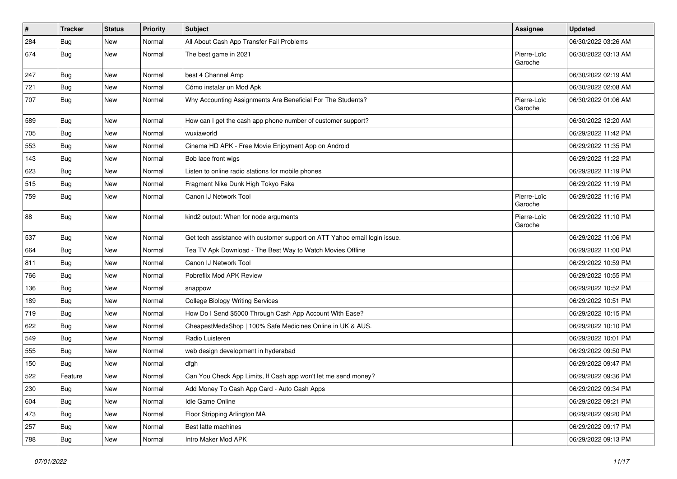| $\pmb{\#}$ | <b>Tracker</b> | <b>Status</b> | Priority | Subject                                                                   | <b>Assignee</b>        | <b>Updated</b>      |
|------------|----------------|---------------|----------|---------------------------------------------------------------------------|------------------------|---------------------|
| 284        | <b>Bug</b>     | New           | Normal   | All About Cash App Transfer Fail Problems                                 |                        | 06/30/2022 03:26 AM |
| 674        | Bug            | New           | Normal   | The best game in 2021                                                     | Pierre-Loïc<br>Garoche | 06/30/2022 03:13 AM |
| 247        | Bug            | New           | Normal   | best 4 Channel Amp                                                        |                        | 06/30/2022 02:19 AM |
| 721        | Bug            | New           | Normal   | Cómo instalar un Mod Apk                                                  |                        | 06/30/2022 02:08 AM |
| 707        | Bug            | New           | Normal   | Why Accounting Assignments Are Beneficial For The Students?               | Pierre-Loïc<br>Garoche | 06/30/2022 01:06 AM |
| 589        | Bug            | <b>New</b>    | Normal   | How can I get the cash app phone number of customer support?              |                        | 06/30/2022 12:20 AM |
| 705        | <b>Bug</b>     | New           | Normal   | wuxiaworld                                                                |                        | 06/29/2022 11:42 PM |
| 553        | Bug            | New           | Normal   | Cinema HD APK - Free Movie Enjoyment App on Android                       |                        | 06/29/2022 11:35 PM |
| 143        | Bug            | New           | Normal   | Bob lace front wigs                                                       |                        | 06/29/2022 11:22 PM |
| 623        | Bug            | New           | Normal   | Listen to online radio stations for mobile phones                         |                        | 06/29/2022 11:19 PM |
| 515        | Bug            | New           | Normal   | Fragment Nike Dunk High Tokyo Fake                                        |                        | 06/29/2022 11:19 PM |
| 759        | Bug            | New           | Normal   | Canon IJ Network Tool                                                     | Pierre-Loïc<br>Garoche | 06/29/2022 11:16 PM |
| 88         | Bug            | New           | Normal   | kind2 output: When for node arguments                                     | Pierre-Loïc<br>Garoche | 06/29/2022 11:10 PM |
| 537        | <b>Bug</b>     | New           | Normal   | Get tech assistance with customer support on ATT Yahoo email login issue. |                        | 06/29/2022 11:06 PM |
| 664        | Bug            | New           | Normal   | Tea TV Apk Download - The Best Way to Watch Movies Offline                |                        | 06/29/2022 11:00 PM |
| 811        | Bug            | New           | Normal   | Canon IJ Network Tool                                                     |                        | 06/29/2022 10:59 PM |
| 766        | Bug            | New           | Normal   | Pobreflix Mod APK Review                                                  |                        | 06/29/2022 10:55 PM |
| 136        | Bug            | New           | Normal   | snappow                                                                   |                        | 06/29/2022 10:52 PM |
| 189        | <b>Bug</b>     | New           | Normal   | <b>College Biology Writing Services</b>                                   |                        | 06/29/2022 10:51 PM |
| 719        | Bug            | New           | Normal   | How Do I Send \$5000 Through Cash App Account With Ease?                  |                        | 06/29/2022 10:15 PM |
| 622        | <b>Bug</b>     | New           | Normal   | CheapestMedsShop   100% Safe Medicines Online in UK & AUS.                |                        | 06/29/2022 10:10 PM |
| 549        | Bug            | New           | Normal   | Radio Luisteren                                                           |                        | 06/29/2022 10:01 PM |
| 555        | Bug            | New           | Normal   | web design development in hyderabad                                       |                        | 06/29/2022 09:50 PM |
| 150        | <b>Bug</b>     | New           | Normal   | dfgh                                                                      |                        | 06/29/2022 09:47 PM |
| 522        | Feature        | New           | Normal   | Can You Check App Limits, If Cash app won't let me send money?            |                        | 06/29/2022 09:36 PM |
| 230        | <b>Bug</b>     | New           | Normal   | Add Money To Cash App Card - Auto Cash Apps                               |                        | 06/29/2022 09:34 PM |
| 604        | <b>Bug</b>     | New           | Normal   | Idle Game Online                                                          |                        | 06/29/2022 09:21 PM |
| 473        | <b>Bug</b>     | New           | Normal   | Floor Stripping Arlington MA                                              |                        | 06/29/2022 09:20 PM |
| 257        | Bug            | New           | Normal   | Best latte machines                                                       |                        | 06/29/2022 09:17 PM |
| 788        | <b>Bug</b>     | New           | Normal   | Intro Maker Mod APK                                                       |                        | 06/29/2022 09:13 PM |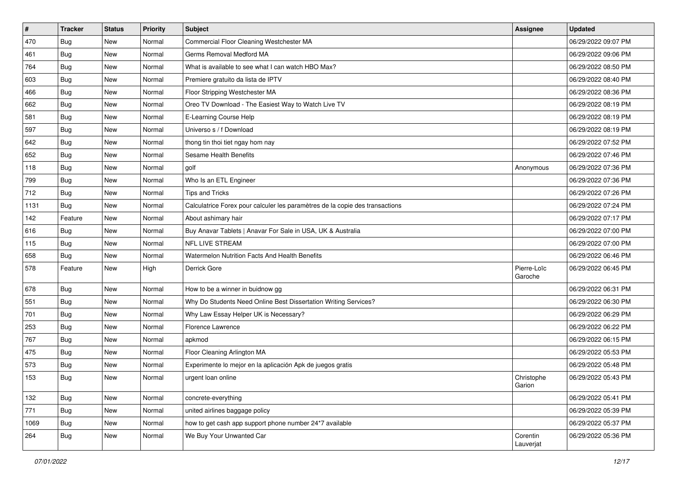| $\vert$ # | <b>Tracker</b> | <b>Status</b> | <b>Priority</b> | Subject                                                                      | Assignee               | <b>Updated</b>      |
|-----------|----------------|---------------|-----------------|------------------------------------------------------------------------------|------------------------|---------------------|
| 470       | <b>Bug</b>     | New           | Normal          | Commercial Floor Cleaning Westchester MA                                     |                        | 06/29/2022 09:07 PM |
| 461       | Bug            | New           | Normal          | Germs Removal Medford MA                                                     |                        | 06/29/2022 09:06 PM |
| 764       | Bug            | New           | Normal          | What is available to see what I can watch HBO Max?                           |                        | 06/29/2022 08:50 PM |
| 603       | Bug            | New           | Normal          | Premiere gratuito da lista de IPTV                                           |                        | 06/29/2022 08:40 PM |
| 466       | Bug            | New           | Normal          | Floor Stripping Westchester MA                                               |                        | 06/29/2022 08:36 PM |
| 662       | <b>Bug</b>     | New           | Normal          | Oreo TV Download - The Easiest Way to Watch Live TV                          |                        | 06/29/2022 08:19 PM |
| 581       | Bug            | New           | Normal          | E-Learning Course Help                                                       |                        | 06/29/2022 08:19 PM |
| 597       | Bug            | New           | Normal          | Universo s / f Download                                                      |                        | 06/29/2022 08:19 PM |
| 642       | <b>Bug</b>     | New           | Normal          | thong tin thoi tiet ngay hom nay                                             |                        | 06/29/2022 07:52 PM |
| 652       | Bug            | New           | Normal          | Sesame Health Benefits                                                       |                        | 06/29/2022 07:46 PM |
| 118       | Bug            | New           | Normal          | golf                                                                         | Anonymous              | 06/29/2022 07:36 PM |
| 799       | <b>Bug</b>     | New           | Normal          | Who Is an ETL Engineer                                                       |                        | 06/29/2022 07:36 PM |
| 712       | Bug            | New           | Normal          | <b>Tips and Tricks</b>                                                       |                        | 06/29/2022 07:26 PM |
| 1131      | Bug            | New           | Normal          | Calculatrice Forex pour calculer les paramètres de la copie des transactions |                        | 06/29/2022 07:24 PM |
| 142       | Feature        | New           | Normal          | About ashimary hair                                                          |                        | 06/29/2022 07:17 PM |
| 616       | <b>Bug</b>     | New           | Normal          | Buy Anavar Tablets   Anavar For Sale in USA, UK & Australia                  |                        | 06/29/2022 07:00 PM |
| 115       | Bug            | New           | Normal          | NFL LIVE STREAM                                                              |                        | 06/29/2022 07:00 PM |
| 658       | Bug            | New           | Normal          | Watermelon Nutrition Facts And Health Benefits                               |                        | 06/29/2022 06:46 PM |
| 578       | Feature        | New           | High            | Derrick Gore                                                                 | Pierre-Loïc<br>Garoche | 06/29/2022 06:45 PM |
| 678       | Bug            | <b>New</b>    | Normal          | How to be a winner in buidnow gg                                             |                        | 06/29/2022 06:31 PM |
| 551       | Bug            | New           | Normal          | Why Do Students Need Online Best Dissertation Writing Services?              |                        | 06/29/2022 06:30 PM |
| 701       | Bug            | New           | Normal          | Why Law Essay Helper UK is Necessary?                                        |                        | 06/29/2022 06:29 PM |
| 253       | <b>Bug</b>     | New           | Normal          | Florence Lawrence                                                            |                        | 06/29/2022 06:22 PM |
| 767       | Bug            | New           | Normal          | apkmod                                                                       |                        | 06/29/2022 06:15 PM |
| 475       | Bug            | New           | Normal          | Floor Cleaning Arlington MA                                                  |                        | 06/29/2022 05:53 PM |
| 573       | <b>Bug</b>     | New           | Normal          | Experimente lo mejor en la aplicación Apk de juegos gratis                   |                        | 06/29/2022 05:48 PM |
| 153       | <b>Bug</b>     | New           | Normal          | urgent loan online                                                           | Christophe<br>Garion   | 06/29/2022 05:43 PM |
| 132       | <b>Bug</b>     | New           | Normal          | concrete-everything                                                          |                        | 06/29/2022 05:41 PM |
| 771       | Bug            | New           | Normal          | united airlines baggage policy                                               |                        | 06/29/2022 05:39 PM |
| 1069      | <b>Bug</b>     | New           | Normal          | how to get cash app support phone number 24*7 available                      |                        | 06/29/2022 05:37 PM |
| 264       | Bug            | New           | Normal          | We Buy Your Unwanted Car                                                     | Corentin<br>Lauverjat  | 06/29/2022 05:36 PM |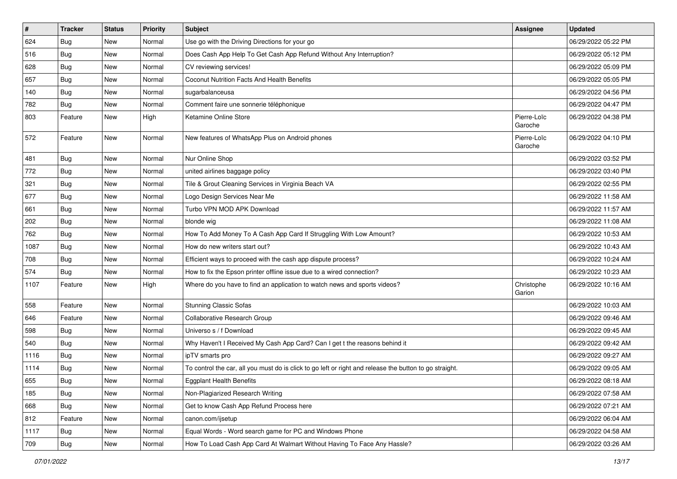| $\vert$ # | <b>Tracker</b> | <b>Status</b> | <b>Priority</b> | Subject                                                                                                 | <b>Assignee</b>        | <b>Updated</b>      |
|-----------|----------------|---------------|-----------------|---------------------------------------------------------------------------------------------------------|------------------------|---------------------|
| 624       | <b>Bug</b>     | New           | Normal          | Use go with the Driving Directions for your go                                                          |                        | 06/29/2022 05:22 PM |
| 516       | <b>Bug</b>     | New           | Normal          | Does Cash App Help To Get Cash App Refund Without Any Interruption?                                     |                        | 06/29/2022 05:12 PM |
| 628       | <b>Bug</b>     | New           | Normal          | CV reviewing services!                                                                                  |                        | 06/29/2022 05:09 PM |
| 657       | <b>Bug</b>     | New           | Normal          | Coconut Nutrition Facts And Health Benefits                                                             |                        | 06/29/2022 05:05 PM |
| 140       | <b>Bug</b>     | New           | Normal          | sugarbalanceusa                                                                                         |                        | 06/29/2022 04:56 PM |
| 782       | <b>Bug</b>     | New           | Normal          | Comment faire une sonnerie téléphonique                                                                 |                        | 06/29/2022 04:47 PM |
| 803       | Feature        | New           | High            | Ketamine Online Store                                                                                   | Pierre-Loïc<br>Garoche | 06/29/2022 04:38 PM |
| 572       | Feature        | New           | Normal          | New features of WhatsApp Plus on Android phones                                                         | Pierre-Loïc<br>Garoche | 06/29/2022 04:10 PM |
| 481       | <b>Bug</b>     | New           | Normal          | Nur Online Shop                                                                                         |                        | 06/29/2022 03:52 PM |
| 772       | <b>Bug</b>     | New           | Normal          | united airlines baggage policy                                                                          |                        | 06/29/2022 03:40 PM |
| 321       | Bug            | New           | Normal          | Tile & Grout Cleaning Services in Virginia Beach VA                                                     |                        | 06/29/2022 02:55 PM |
| 677       | <b>Bug</b>     | New           | Normal          | Logo Design Services Near Me                                                                            |                        | 06/29/2022 11:58 AM |
| 661       | Bug            | New           | Normal          | Turbo VPN MOD APK Download                                                                              |                        | 06/29/2022 11:57 AM |
| 202       | <b>Bug</b>     | New           | Normal          | blonde wig                                                                                              |                        | 06/29/2022 11:08 AM |
| 762       | <b>Bug</b>     | New           | Normal          | How To Add Money To A Cash App Card If Struggling With Low Amount?                                      |                        | 06/29/2022 10:53 AM |
| 1087      | Bug            | New           | Normal          | How do new writers start out?                                                                           |                        | 06/29/2022 10:43 AM |
| 708       | <b>Bug</b>     | New           | Normal          | Efficient ways to proceed with the cash app dispute process?                                            |                        | 06/29/2022 10:24 AM |
| 574       | <b>Bug</b>     | New           | Normal          | How to fix the Epson printer offline issue due to a wired connection?                                   |                        | 06/29/2022 10:23 AM |
| 1107      | Feature        | New           | High            | Where do you have to find an application to watch news and sports videos?                               | Christophe<br>Garion   | 06/29/2022 10:16 AM |
| 558       | Feature        | New           | Normal          | <b>Stunning Classic Sofas</b>                                                                           |                        | 06/29/2022 10:03 AM |
| 646       | Feature        | New           | Normal          | Collaborative Research Group                                                                            |                        | 06/29/2022 09:46 AM |
| 598       | <b>Bug</b>     | New           | Normal          | Universo s / f Download                                                                                 |                        | 06/29/2022 09:45 AM |
| 540       | Bug            | New           | Normal          | Why Haven't I Received My Cash App Card? Can I get t the reasons behind it                              |                        | 06/29/2022 09:42 AM |
| 1116      | <b>Bug</b>     | New           | Normal          | ipTV smarts pro                                                                                         |                        | 06/29/2022 09:27 AM |
| 1114      | <b>Bug</b>     | New           | Normal          | To control the car, all you must do is click to go left or right and release the button to go straight. |                        | 06/29/2022 09:05 AM |
| 655       | Bug            | New           | Normal          | <b>Eggplant Health Benefits</b>                                                                         |                        | 06/29/2022 08:18 AM |
| 185       | Bug            | New           | Normal          | Non-Plagiarized Research Writing                                                                        |                        | 06/29/2022 07:58 AM |
| 668       | Bug            | New           | Normal          | Get to know Cash App Refund Process here                                                                |                        | 06/29/2022 07:21 AM |
| 812       | Feature        | New           | Normal          | canon.com/ijsetup                                                                                       |                        | 06/29/2022 06:04 AM |
| 1117      | Bug            | New           | Normal          | Equal Words - Word search game for PC and Windows Phone                                                 |                        | 06/29/2022 04:58 AM |
| 709       | <b>Bug</b>     | New           | Normal          | How To Load Cash App Card At Walmart Without Having To Face Any Hassle?                                 |                        | 06/29/2022 03:26 AM |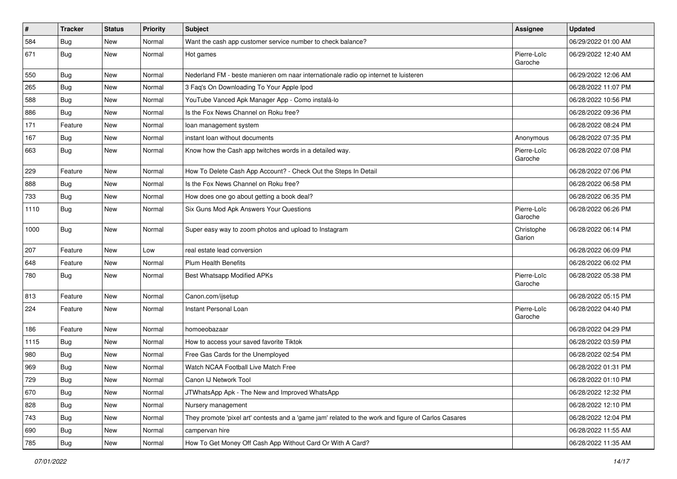| $\vert$ # | <b>Tracker</b> | <b>Status</b> | <b>Priority</b> | <b>Subject</b>                                                                                      | <b>Assignee</b>        | <b>Updated</b>      |
|-----------|----------------|---------------|-----------------|-----------------------------------------------------------------------------------------------------|------------------------|---------------------|
| 584       | <b>Bug</b>     | New           | Normal          | Want the cash app customer service number to check balance?                                         |                        | 06/29/2022 01:00 AM |
| 671       | Bug            | New           | Normal          | Hot games                                                                                           | Pierre-Loïc<br>Garoche | 06/29/2022 12:40 AM |
| 550       | Bug            | New           | Normal          | Nederland FM - beste manieren om naar internationale radio op internet te luisteren                 |                        | 06/29/2022 12:06 AM |
| 265       | Bug            | New           | Normal          | 3 Faq's On Downloading To Your Apple Ipod                                                           |                        | 06/28/2022 11:07 PM |
| 588       | Bug            | New           | Normal          | YouTube Vanced Apk Manager App - Como instalá-lo                                                    |                        | 06/28/2022 10:56 PM |
| 886       | Bug            | New           | Normal          | Is the Fox News Channel on Roku free?                                                               |                        | 06/28/2022 09:36 PM |
| 171       | Feature        | New           | Normal          | loan management system                                                                              |                        | 06/28/2022 08:24 PM |
| 167       | <b>Bug</b>     | New           | Normal          | instant loan without documents                                                                      | Anonymous              | 06/28/2022 07:35 PM |
| 663       | <b>Bug</b>     | New           | Normal          | Know how the Cash app twitches words in a detailed way.                                             | Pierre-Loïc<br>Garoche | 06/28/2022 07:08 PM |
| 229       | Feature        | New           | Normal          | How To Delete Cash App Account? - Check Out the Steps In Detail                                     |                        | 06/28/2022 07:06 PM |
| 888       | Bug            | New           | Normal          | Is the Fox News Channel on Roku free?                                                               |                        | 06/28/2022 06:58 PM |
| 733       | <b>Bug</b>     | New           | Normal          | How does one go about getting a book deal?                                                          |                        | 06/28/2022 06:35 PM |
| 1110      | Bug            | New           | Normal          | Six Guns Mod Apk Answers Your Questions                                                             | Pierre-Loïc<br>Garoche | 06/28/2022 06:26 PM |
| 1000      | Bug            | New           | Normal          | Super easy way to zoom photos and upload to Instagram                                               | Christophe<br>Garion   | 06/28/2022 06:14 PM |
| 207       | Feature        | New           | Low             | real estate lead conversion                                                                         |                        | 06/28/2022 06:09 PM |
| 648       | Feature        | New           | Normal          | <b>Plum Health Benefits</b>                                                                         |                        | 06/28/2022 06:02 PM |
| 780       | Bug            | New           | Normal          | Best Whatsapp Modified APKs                                                                         | Pierre-Loïc<br>Garoche | 06/28/2022 05:38 PM |
| 813       | Feature        | New           | Normal          | Canon.com/ijsetup                                                                                   |                        | 06/28/2022 05:15 PM |
| 224       | Feature        | New           | Normal          | Instant Personal Loan                                                                               | Pierre-Loïc<br>Garoche | 06/28/2022 04:40 PM |
| 186       | Feature        | New           | Normal          | homoeobazaar                                                                                        |                        | 06/28/2022 04:29 PM |
| 1115      | Bug            | New           | Normal          | How to access your saved favorite Tiktok                                                            |                        | 06/28/2022 03:59 PM |
| 980       | <b>Bug</b>     | New           | Normal          | Free Gas Cards for the Unemployed                                                                   |                        | 06/28/2022 02:54 PM |
| 969       | <b>Bug</b>     | New           | Normal          | Watch NCAA Football Live Match Free                                                                 |                        | 06/28/2022 01:31 PM |
| 729       | Bug            | New           | Normal          | Canon IJ Network Tool                                                                               |                        | 06/28/2022 01:10 PM |
| 670       | Bug            | New           | Normal          | JTWhatsApp Apk - The New and Improved WhatsApp                                                      |                        | 06/28/2022 12:32 PM |
| 828       | Bug            | New           | Normal          | Nursery management                                                                                  |                        | 06/28/2022 12:10 PM |
| 743       | <b>Bug</b>     | New           | Normal          | They promote 'pixel art' contests and a 'game jam' related to the work and figure of Carlos Casares |                        | 06/28/2022 12:04 PM |
| 690       | <b>Bug</b>     | New           | Normal          | campervan hire                                                                                      |                        | 06/28/2022 11:55 AM |
| 785       | <b>Bug</b>     | New           | Normal          | How To Get Money Off Cash App Without Card Or With A Card?                                          |                        | 06/28/2022 11:35 AM |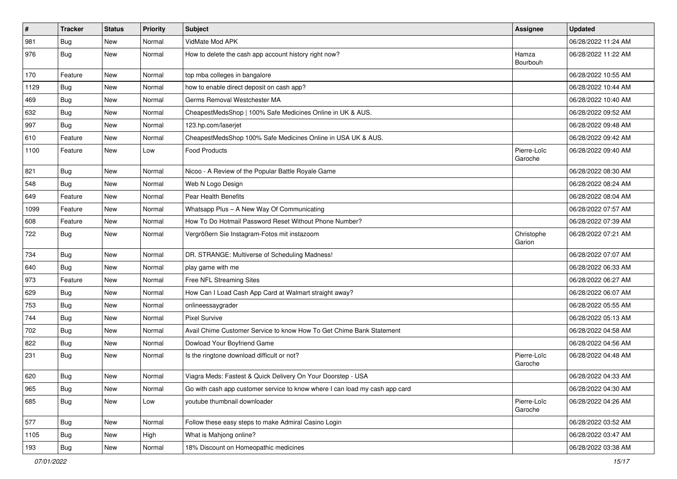| $\vert$ # | <b>Tracker</b> | <b>Status</b> | <b>Priority</b> | Subject                                                                     | Assignee               | <b>Updated</b>      |
|-----------|----------------|---------------|-----------------|-----------------------------------------------------------------------------|------------------------|---------------------|
| 981       | <b>Bug</b>     | New           | Normal          | VidMate Mod APK                                                             |                        | 06/28/2022 11:24 AM |
| 976       | Bug            | New           | Normal          | How to delete the cash app account history right now?                       | Hamza<br>Bourbouh      | 06/28/2022 11:22 AM |
| 170       | Feature        | New           | Normal          | top mba colleges in bangalore                                               |                        | 06/28/2022 10:55 AM |
| 1129      | Bug            | New           | Normal          | how to enable direct deposit on cash app?                                   |                        | 06/28/2022 10:44 AM |
| 469       | Bug            | New           | Normal          | Germs Removal Westchester MA                                                |                        | 06/28/2022 10:40 AM |
| 632       | Bug            | New           | Normal          | CheapestMedsShop   100% Safe Medicines Online in UK & AUS.                  |                        | 06/28/2022 09:52 AM |
| 997       | Bug            | New           | Normal          | 123.hp.com/laserjet                                                         |                        | 06/28/2022 09:48 AM |
| 610       | Feature        | New           | Normal          | CheapestMedsShop 100% Safe Medicines Online in USA UK & AUS.                |                        | 06/28/2022 09:42 AM |
| 1100      | Feature        | New           | Low             | Food Products                                                               | Pierre-Loïc<br>Garoche | 06/28/2022 09:40 AM |
| 821       | Bug            | New           | Normal          | Nicoo - A Review of the Popular Battle Royale Game                          |                        | 06/28/2022 08:30 AM |
| 548       | Bug            | New           | Normal          | Web N Logo Design                                                           |                        | 06/28/2022 08:24 AM |
| 649       | Feature        | New           | Normal          | Pear Health Benefits                                                        |                        | 06/28/2022 08:04 AM |
| 1099      | Feature        | New           | Normal          | Whatsapp Plus - A New Way Of Communicating                                  |                        | 06/28/2022 07:57 AM |
| 608       | Feature        | New           | Normal          | How To Do Hotmail Password Reset Without Phone Number?                      |                        | 06/28/2022 07:39 AM |
| 722       | Bug            | New           | Normal          | Vergrößern Sie Instagram-Fotos mit instazoom                                | Christophe<br>Garion   | 06/28/2022 07:21 AM |
| 734       | Bug            | New           | Normal          | DR. STRANGE: Multiverse of Scheduling Madness!                              |                        | 06/28/2022 07:07 AM |
| 640       | Bug            | New           | Normal          | play game with me                                                           |                        | 06/28/2022 06:33 AM |
| 973       | Feature        | New           | Normal          | Free NFL Streaming Sites                                                    |                        | 06/28/2022 06:27 AM |
| 629       | Bug            | New           | Normal          | How Can I Load Cash App Card at Walmart straight away?                      |                        | 06/28/2022 06:07 AM |
| 753       | Bug            | New           | Normal          | onlineessaygrader                                                           |                        | 06/28/2022 05:55 AM |
| 744       | Bug            | New           | Normal          | <b>Pixel Survive</b>                                                        |                        | 06/28/2022 05:13 AM |
| 702       | Bug            | New           | Normal          | Avail Chime Customer Service to know How To Get Chime Bank Statement        |                        | 06/28/2022 04:58 AM |
| 822       | <b>Bug</b>     | New           | Normal          | Dowload Your Boyfriend Game                                                 |                        | 06/28/2022 04:56 AM |
| 231       | <b>Bug</b>     | New           | Normal          | Is the ringtone download difficult or not?                                  | Pierre-Loïc<br>Garoche | 06/28/2022 04:48 AM |
| 620       | Bug            | New           | Normal          | Viagra Meds: Fastest & Quick Delivery On Your Doorstep - USA                |                        | 06/28/2022 04:33 AM |
| 965       | <b>Bug</b>     | New           | Normal          | Go with cash app customer service to know where I can load my cash app card |                        | 06/28/2022 04:30 AM |
| 685       | Bug            | New           | Low             | youtube thumbnail downloader                                                | Pierre-Loïc<br>Garoche | 06/28/2022 04:26 AM |
| 577       | Bug            | New           | Normal          | Follow these easy steps to make Admiral Casino Login                        |                        | 06/28/2022 03:52 AM |
| 1105      | Bug            | New           | High            | What is Mahjong online?                                                     |                        | 06/28/2022 03:47 AM |
| 193       | Bug            | New           | Normal          | 18% Discount on Homeopathic medicines                                       |                        | 06/28/2022 03:38 AM |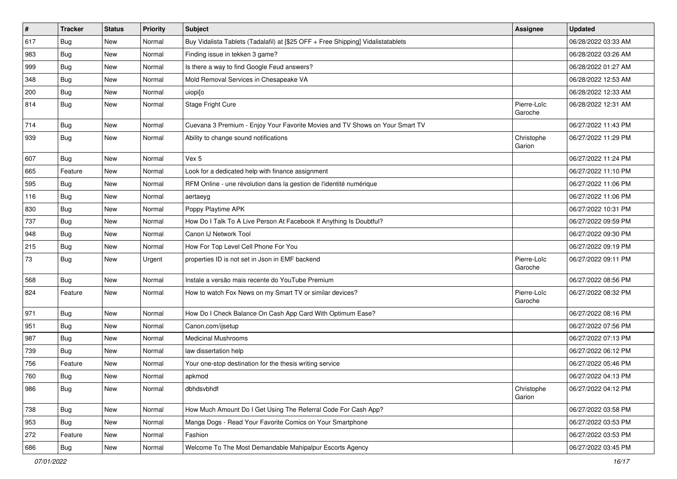| #   | <b>Tracker</b> | <b>Status</b> | <b>Priority</b> | Subject                                                                          | Assignee               | <b>Updated</b>      |
|-----|----------------|---------------|-----------------|----------------------------------------------------------------------------------|------------------------|---------------------|
| 617 | <b>Bug</b>     | New           | Normal          | Buy Vidalista Tablets (Tadalafil) at [\$25 OFF + Free Shipping] Vidalistatablets |                        | 06/28/2022 03:33 AM |
| 983 | Bug            | New           | Normal          | Finding issue in tekken 3 game?                                                  |                        | 06/28/2022 03:26 AM |
| 999 | Bug            | New           | Normal          | Is there a way to find Google Feud answers?                                      |                        | 06/28/2022 01:27 AM |
| 348 | <b>Bug</b>     | New           | Normal          | Mold Removal Services in Chesapeake VA                                           |                        | 06/28/2022 12:53 AM |
| 200 | <b>Bug</b>     | New           | Normal          | uiopi[o                                                                          |                        | 06/28/2022 12:33 AM |
| 814 | Bug            | New           | Normal          | Stage Fright Cure                                                                | Pierre-Loïc<br>Garoche | 06/28/2022 12:31 AM |
| 714 | Bug            | New           | Normal          | Cuevana 3 Premium - Enjoy Your Favorite Movies and TV Shows on Your Smart TV     |                        | 06/27/2022 11:43 PM |
| 939 | Bug            | New           | Normal          | Ability to change sound notifications                                            | Christophe<br>Garion   | 06/27/2022 11:29 PM |
| 607 | Bug            | <b>New</b>    | Normal          | Vex 5                                                                            |                        | 06/27/2022 11:24 PM |
| 665 | Feature        | New           | Normal          | Look for a dedicated help with finance assignment                                |                        | 06/27/2022 11:10 PM |
| 595 | <b>Bug</b>     | New           | Normal          | RFM Online - une révolution dans la gestion de l'identité numérique              |                        | 06/27/2022 11:06 PM |
| 116 | <b>Bug</b>     | New           | Normal          | aertaeyg                                                                         |                        | 06/27/2022 11:06 PM |
| 830 | <b>Bug</b>     | New           | Normal          | Poppy Playtime APK                                                               |                        | 06/27/2022 10:31 PM |
| 737 | Bug            | New           | Normal          | How Do I Talk To A Live Person At Facebook If Anything Is Doubtful?              |                        | 06/27/2022 09:59 PM |
| 948 | Bug            | New           | Normal          | Canon IJ Network Tool                                                            |                        | 06/27/2022 09:30 PM |
| 215 | Bug            | New           | Normal          | How For Top Level Cell Phone For You                                             |                        | 06/27/2022 09:19 PM |
| 73  | Bug            | New           | Urgent          | properties ID is not set in Json in EMF backend                                  | Pierre-Loïc<br>Garoche | 06/27/2022 09:11 PM |
| 568 | Bug            | New           | Normal          | Instale a versão mais recente do YouTube Premium                                 |                        | 06/27/2022 08:56 PM |
| 824 | Feature        | New           | Normal          | How to watch Fox News on my Smart TV or similar devices?                         | Pierre-Loïc<br>Garoche | 06/27/2022 08:32 PM |
| 971 | Bug            | New           | Normal          | How Do I Check Balance On Cash App Card With Optimum Ease?                       |                        | 06/27/2022 08:16 PM |
| 951 | Bug            | New           | Normal          | Canon.com/ijsetup                                                                |                        | 06/27/2022 07:56 PM |
| 987 | Bug            | New           | Normal          | <b>Medicinal Mushrooms</b>                                                       |                        | 06/27/2022 07:13 PM |
| 739 | Bug            | New           | Normal          | law dissertation help                                                            |                        | 06/27/2022 06:12 PM |
| 756 | Feature        | New           | Normal          | Your one-stop destination for the thesis writing service                         |                        | 06/27/2022 05:46 PM |
| 760 | Bug            | New           | Normal          | apkmod                                                                           |                        | 06/27/2022 04:13 PM |
| 986 | Bug            | New           | Normal          | dbhdsvbhdf                                                                       | Christophe<br>Garion   | 06/27/2022 04:12 PM |
| 738 | Bug            | New           | Normal          | How Much Amount Do I Get Using The Referral Code For Cash App?                   |                        | 06/27/2022 03:58 PM |
| 953 | Bug            | New           | Normal          | Manga Dogs - Read Your Favorite Comics on Your Smartphone                        |                        | 06/27/2022 03:53 PM |
| 272 | Feature        | New           | Normal          | Fashion                                                                          |                        | 06/27/2022 03:53 PM |
| 686 | Bug            | New           | Normal          | Welcome To The Most Demandable Mahipalpur Escorts Agency                         |                        | 06/27/2022 03:45 PM |